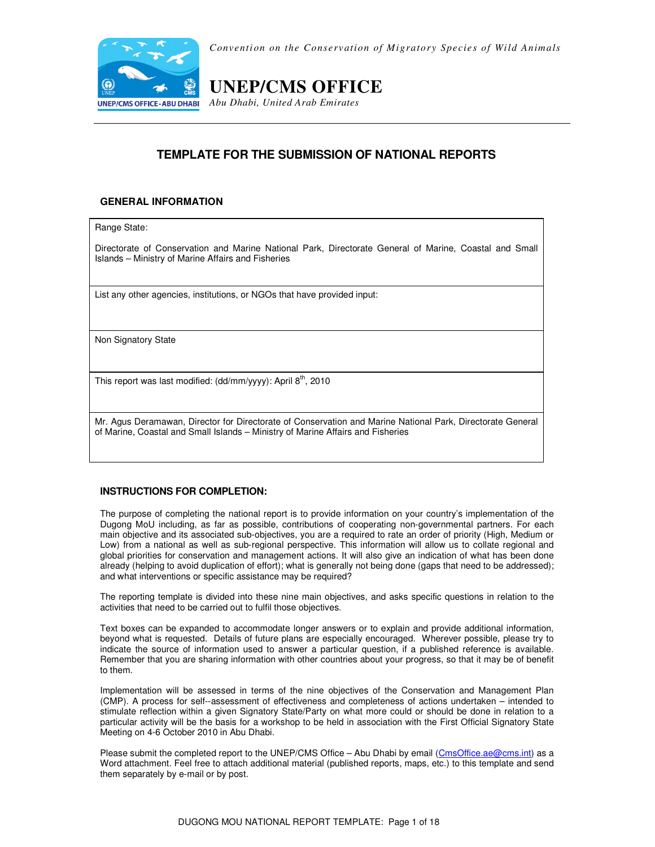

*Convention on the Conservation of Migratory Species of Wild Animals* 

# **UNEP/CMS OFFICE**

*Abu Dhabi, United Arab Emirates*

## **TEMPLATE FOR THE SUBMISSION OF NATIONAL REPORTS**

## **GENERAL INFORMATION**

Range State:

Directorate of Conservation and Marine National Park, Directorate General of Marine, Coastal and Small Islands – Ministry of Marine Affairs and Fisheries

List any other agencies, institutions, or NGOs that have provided input:

Non Signatory State

This report was last modified: (dd/mm/yyyy): April  $8<sup>th</sup>$ , 2010

Mr. Agus Deramawan, Director for Directorate of Conservation and Marine National Park, Directorate General of Marine, Coastal and Small Islands – Ministry of Marine Affairs and Fisheries

## **INSTRUCTIONS FOR COMPLETION:**

The purpose of completing the national report is to provide information on your country's implementation of the Dugong MoU including, as far as possible, contributions of cooperating non-governmental partners. For each main objective and its associated sub-objectives, you are a required to rate an order of priority (High, Medium or Low) from a national as well as sub-regional perspective. This information will allow us to collate regional and global priorities for conservation and management actions. It will also give an indication of what has been done already (helping to avoid duplication of effort); what is generally not being done (gaps that need to be addressed); and what interventions or specific assistance may be required?

The reporting template is divided into these nine main objectives, and asks specific questions in relation to the activities that need to be carried out to fulfil those objectives.

Text boxes can be expanded to accommodate longer answers or to explain and provide additional information, beyond what is requested. Details of future plans are especially encouraged. Wherever possible, please try to indicate the source of information used to answer a particular question, if a published reference is available. Remember that you are sharing information with other countries about your progress, so that it may be of benefit to them.

Implementation will be assessed in terms of the nine objectives of the Conservation and Management Plan (CMP). A process for self--assessment of effectiveness and completeness of actions undertaken – intended to stimulate reflection within a given Signatory State/Party on what more could or should be done in relation to a particular activity will be the basis for a workshop to be held in association with the First Official Signatory State Meeting on 4-6 October 2010 in Abu Dhabi.

Please submit the completed report to the UNEP/CMS Office - Abu Dhabi by email (CmsOffice.ae@cms.int) as a Word attachment. Feel free to attach additional material (published reports, maps, etc.) to this template and send them separately by e-mail or by post.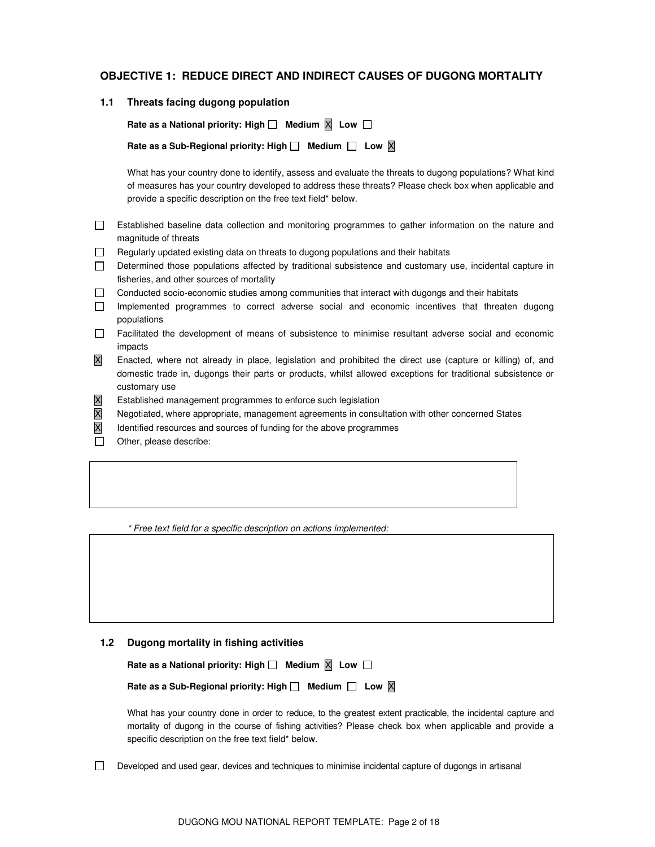## **OBJECTIVE 1: REDUCE DIRECT AND INDIRECT CAUSES OF DUGONG MORTALITY**

**1.1 Threats facing dugong population** 

Rate as a National priority: High  $\Box$  Medium  $\Box$  Low  $\Box$ 

Rate as a Sub-Regional priority: High  $\Box$  Medium  $\Box$  Low X

What has your country done to identify, assess and evaluate the threats to dugong populations? What kind of measures has your country developed to address these threats? Please check box when applicable and provide a specific description on the free text field\* below.

- Established baseline data collection and monitoring programmes to gather information on the nature and magnitude of threats
- $\Box$  Regularly updated existing data on threats to dugong populations and their habitats
- Determined those populations affected by traditional subsistence and customary use, incidental capture in fisheries, and other sources of mortality
- Conducted socio-economic studies among communities that interact with dugongs and their habitats
- Implemented programmes to correct adverse social and economic incentives that threaten dugong populations
- Facilitated the development of means of subsistence to minimise resultant adverse social and economic impacts
- X Enacted, where not already in place, legislation and prohibited the direct use (capture or killing) of, and domestic trade in, dugongs their parts or products, whilst allowed exceptions for traditional subsistence or customary use
- X Established management programmes to enforce such legislation
- X Negotiated, where appropriate, management agreements in consultation with other concerned States
- $\overline{X}$  Identified resources and sources of funding for the above programmes
- Other, please describe:

\* Free text field for a specific description on actions implemented:

#### **1.2 Dugong mortality in fishing activities**

Rate as a National priority: High  $\Box$  Medium  $\boxed{\times}$  Low  $\Box$ 

Rate as a Sub-Regional priority: High  $\Box$  Medium  $\Box$  Low  $\boxtimes$ 

What has your country done in order to reduce, to the greatest extent practicable, the incidental capture and mortality of dugong in the course of fishing activities? Please check box when applicable and provide a specific description on the free text field\* below.

 $\Box$  Developed and used gear, devices and techniques to minimise incidental capture of dugongs in artisanal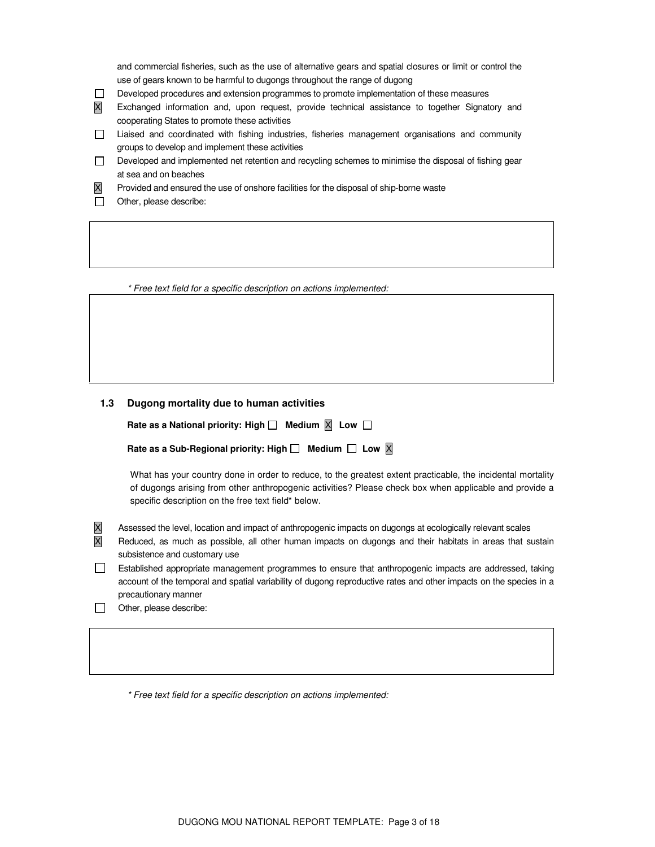and commercial fisheries, such as the use of alternative gears and spatial closures or limit or control the use of gears known to be harmful to dugongs throughout the range of dugong

- Developed procedures and extension programmes to promote implementation of these measures
- X Exchanged information and, upon request, provide technical assistance to together Signatory and cooperating States to promote these activities
- Liaised and coordinated with fishing industries, fisheries management organisations and community groups to develop and implement these activities
- $\Box$  Developed and implemented net retention and recycling schemes to minimise the disposal of fishing gear at sea and on beaches
- X Provided and ensured the use of onshore facilities for the disposal of ship-borne waste
- Other, please describe:

\* Free text field for a specific description on actions implemented:

### **1.3 Dugong mortality due to human activities**

Rate as a National priority: High  $\Box$  Medium  $\boxtimes$  Low  $\Box$ 

Rate as a Sub-Regional priority: High  $\Box$  Medium  $\Box$  Low  $\boxtimes$ 

What has your country done in order to reduce, to the greatest extent practicable, the incidental mortality of dugongs arising from other anthropogenic activities? Please check box when applicable and provide a specific description on the free text field\* below.

- X Assessed the level, location and impact of anthropogenic impacts on dugongs at ecologically relevant scales
- X Reduced, as much as possible, all other human impacts on dugongs and their habitats in areas that sustain subsistence and customary use
- Established appropriate management programmes to ensure that anthropogenic impacts are addressed, taking account of the temporal and spatial variability of dugong reproductive rates and other impacts on the species in a precautionary manner
- Other, please describe:

\* Free text field for a specific description on actions implemented: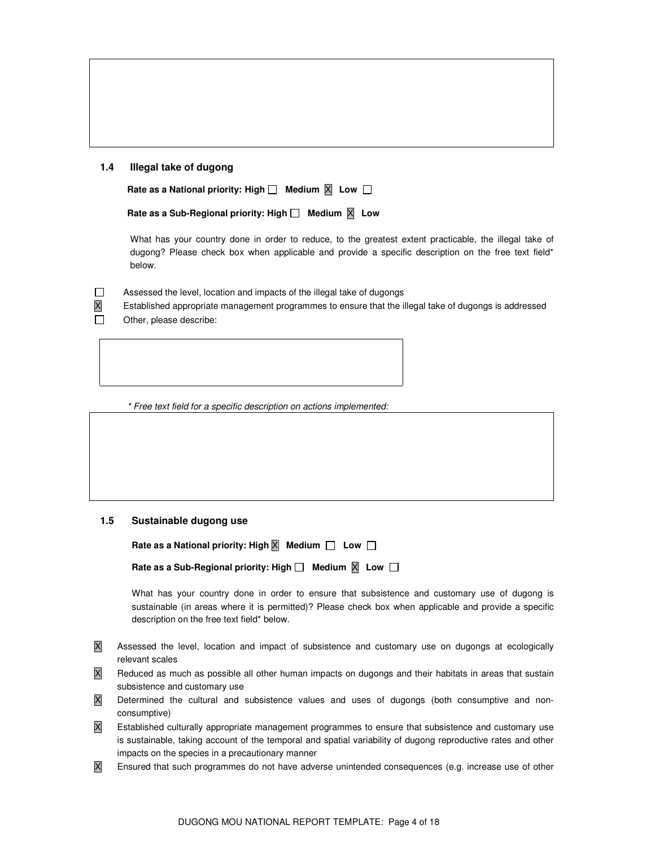#### **1.4 Illegal take of dugong**

Rate as a National priority: High  $\Box$  Medium  $\Box$  Low  $\Box$ 

```
 Rate as a Sub-Regional priority: High □ Medium X Low
```
 What has your country done in order to reduce, to the greatest extent practicable, the illegal take of dugong? Please check box when applicable and provide a specific description on the free text field\* below.

 $\Box$  Assessed the level, location and impacts of the illegal take of dugongs

X Established appropriate management programmes to ensure that the illegal take of dugongs is addressed

Other, please describe:

\* Free text field for a specific description on actions implemented:

### **1.5 Sustainable dugong use**

| Rate as a National priority: High $\overline{X}$ Medium $\Box$ Low $\Box$  |  |
|----------------------------------------------------------------------------|--|
| Rate as a Sub-Regional priority: High $\Box$ Medium $\boxtimes$ Low $\Box$ |  |

 What has your country done in order to ensure that subsistence and customary use of dugong is sustainable (in areas where it is permitted)? Please check box when applicable and provide a specific description on the free text field\* below.

- X Assessed the level, location and impact of subsistence and customary use on dugongs at ecologically relevant scales
- X Reduced as much as possible all other human impacts on dugongs and their habitats in areas that sustain subsistence and customary use
- X Determined the cultural and subsistence values and uses of dugongs (both consumptive and nonconsumptive)
- $\overline{X}$  Established culturally appropriate management programmes to ensure that subsistence and customary use is sustainable, taking account of the temporal and spatial variability of dugong reproductive rates and other impacts on the species in a precautionary manner
- X Ensured that such programmes do not have adverse unintended consequences (e.g. increase use of other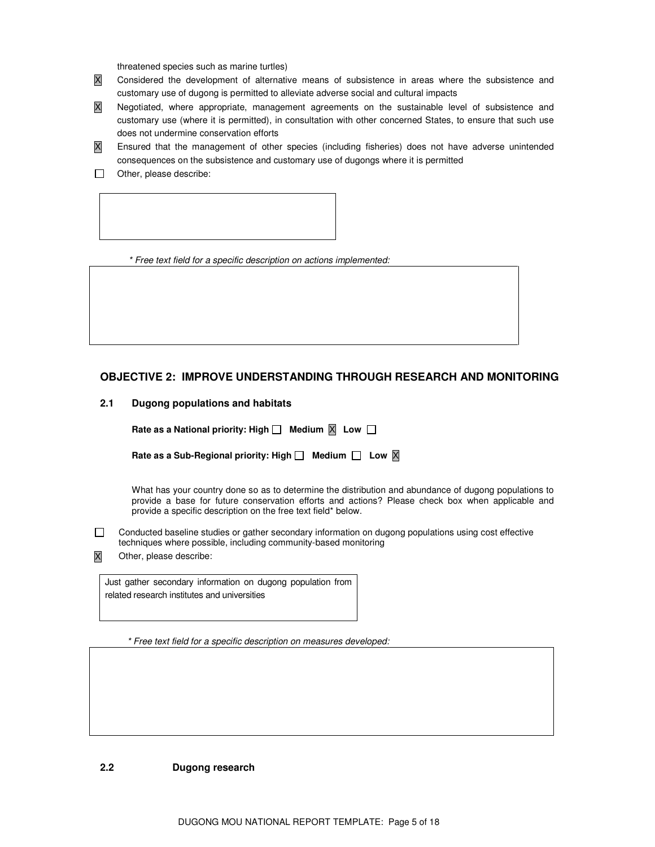threatened species such as marine turtles)

- X Considered the development of alternative means of subsistence in areas where the subsistence and customary use of dugong is permitted to alleviate adverse social and cultural impacts
- X Negotiated, where appropriate, management agreements on the sustainable level of subsistence and customary use (where it is permitted), in consultation with other concerned States, to ensure that such use does not undermine conservation efforts
- X Ensured that the management of other species (including fisheries) does not have adverse unintended consequences on the subsistence and customary use of dugongs where it is permitted
- Other, please describe:

\* Free text field for a specific description on actions implemented:

## **OBJECTIVE 2: IMPROVE UNDERSTANDING THROUGH RESEARCH AND MONITORING**

| 2.1 |  |  | Dugong populations and habitats |
|-----|--|--|---------------------------------|
|-----|--|--|---------------------------------|

| Rate as a National priority: High $\Box$ Medium $\boxtimes$ Low $\Box$ |  |  |
|------------------------------------------------------------------------|--|--|
|------------------------------------------------------------------------|--|--|

| Rate as a Sub-Regional priority: High $\Box$ Medium $\Box$ Low $\boxtimes$ |  |  |
|----------------------------------------------------------------------------|--|--|
|----------------------------------------------------------------------------|--|--|

 What has your country done so as to determine the distribution and abundance of dugong populations to provide a base for future conservation efforts and actions? Please check box when applicable and provide a specific description on the free text field\* below.

- Conducted baseline studies or gather secondary information on dugong populations using cost effective techniques where possible, including community-based monitoring
- X Other, please describe:

Just gather secondary information on dugong population from related research institutes and universities

\* Free text field for a specific description on measures developed:

#### **2.2 Dugong research**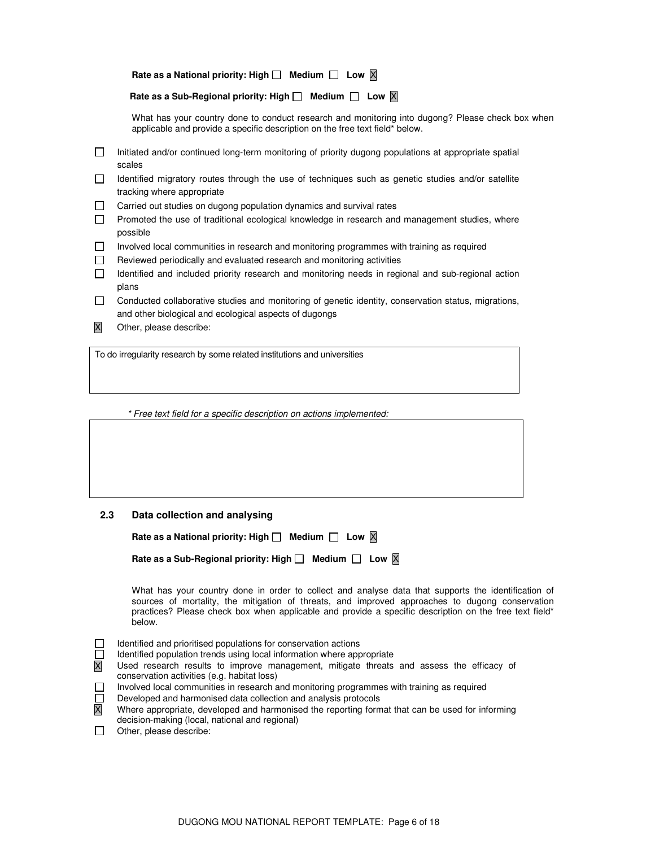| Rate as a National priority: High $\square$ Medium $\square$ Low $\times$ |  |  |
|---------------------------------------------------------------------------|--|--|
|---------------------------------------------------------------------------|--|--|

### **Rate as a Sub-Regional priority: High** □ Medium □ Low **X**

 What has your country done to conduct research and monitoring into dugong? Please check box when applicable and provide a specific description on the free text field\* below.

- Initiated and/or continued long-term monitoring of priority dugong populations at appropriate spatial scales
- Identified migratory routes through the use of techniques such as genetic studies and/or satellite tracking where appropriate
- $\Box$  Carried out studies on dugong population dynamics and survival rates
- **Promoted the use of traditional ecological knowledge in research and management studies, where** possible
- Involved local communities in research and monitoring programmes with training as required
- $\Box$  Reviewed periodically and evaluated research and monitoring activities
- $\Box$  Identified and included priority research and monitoring needs in regional and sub-regional action plans
- $\Box$  Conducted collaborative studies and monitoring of genetic identity, conservation status, migrations, and other biological and ecological aspects of dugongs
- X Other, please describe:

To do irregularity research by some related institutions and universities

\* Free text field for a specific description on actions implemented:

#### **2.3 Data collection and analysing**

| Rate as a National priority: High $\Box$ Medium $\Box$ Low $\boxtimes$     |
|----------------------------------------------------------------------------|
| Rate as a Sub-Regional priority: High $\Box$ Medium $\Box$ Low $\boxtimes$ |
| What has your country done in order to collect and analyse data            |

that supports the identification of sources of mortality, the mitigation of threats, and improved approaches to dugong conservation practices? Please check box when applicable and provide a specific description on the free text field\* below.

- Identified and prioritised populations for conservation actions
- Identified population trends using local information where appropriate

|  |                                             |  | Used research results to improve management, mitigate threats and assess the efficacy of |  |  |  |  |
|--|---------------------------------------------|--|------------------------------------------------------------------------------------------|--|--|--|--|
|  | conservation activities (e.g. habitat loss) |  |                                                                                          |  |  |  |  |

- Involved local communities in research and monitoring programmes with training as required
- Developed and harmonised data collection and analysis protocols
- X Where appropriate, developed and harmonised the reporting format that can be used for informing decision-making (local, national and regional)
- $\Box$  Other, please describe: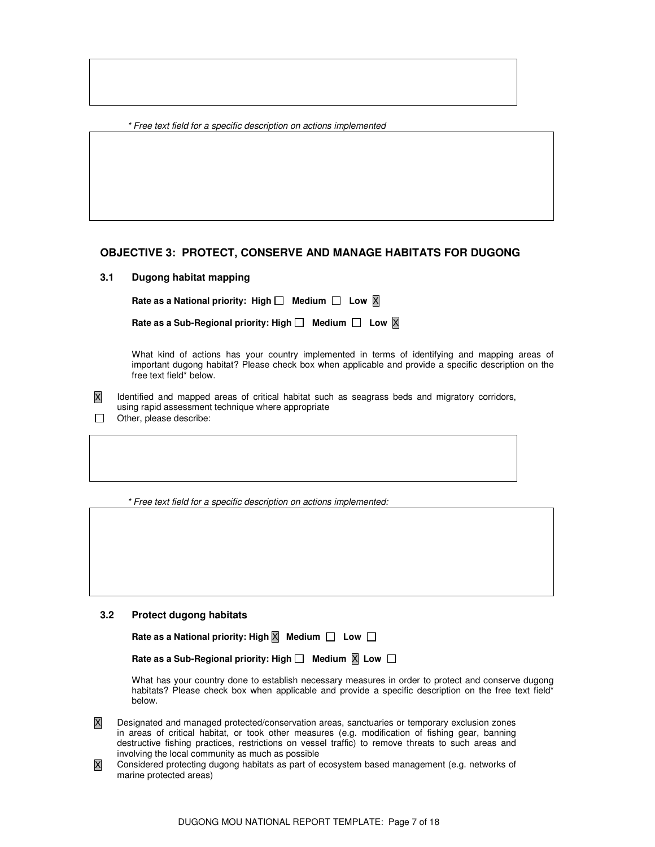\* Free text field for a specific description on actions implemented

## **OBJECTIVE 3: PROTECT, CONSERVE AND MANAGE HABITATS FOR DUGONG**

## **3.1 Dugong habitat mapping**

**Rate as a National priority: High** □ Medium □ Low  $\overline{X}$ 

 What kind of actions has your country implemented in terms of identifying and mapping areas of important dugong habitat? Please check box when applicable and provide a specific description on the free text field\* below.

X Identified and mapped areas of critical habitat such as seagrass beds and migratory corridors, using rapid assessment technique where appropriate  $\Box$  Other, please describe:

\* Free text field for a specific description on actions implemented:

## **3.2 Protect dugong habitats**

| Rate as a National priority: High $\overline{X}$ Medium $\Box$ Low $\Box$ |  |
|---------------------------------------------------------------------------|--|
|---------------------------------------------------------------------------|--|

| Rate as a Sub-Regional priority: High $\Box$ Medium $\boxtimes$ Low $\Box$ |  |  |
|----------------------------------------------------------------------------|--|--|
|----------------------------------------------------------------------------|--|--|

 What has your country done to establish necessary measures in order to protect and conserve dugong habitats? Please check box when applicable and provide a specific description on the free text field\* below.

- X Designated and managed protected/conservation areas, sanctuaries or temporary exclusion zones in areas of critical habitat, or took other measures (e.g. modification of fishing gear, banning destructive fishing practices, restrictions on vessel traffic) to remove threats to such areas and involving the local community as much as possible
- X Considered protecting dugong habitats as part of ecosystem based management (e.g. networks of marine protected areas)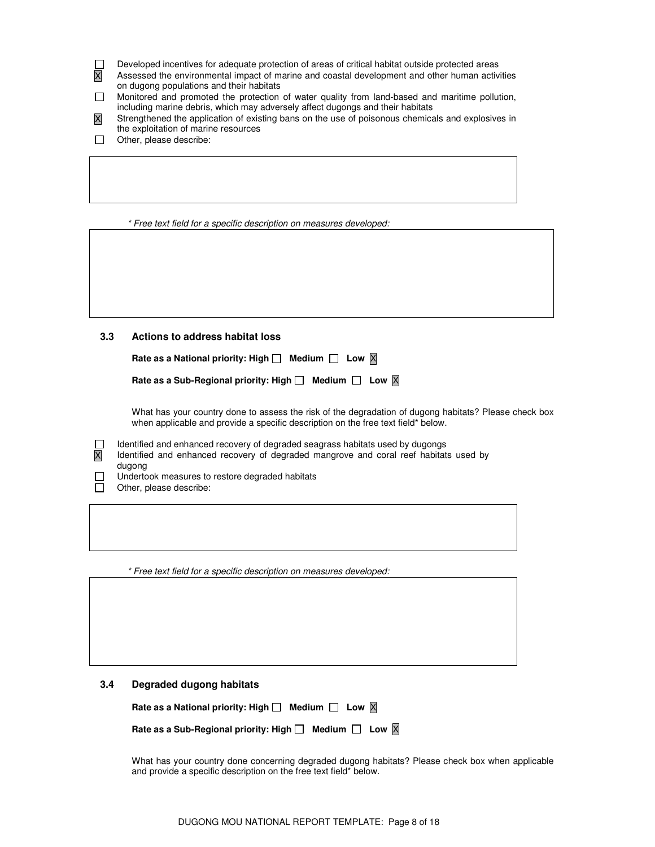Developed incentives for adequate protection of areas of critical habitat outside protected areas П

- X Assessed the environmental impact of marine and coastal development and other human activities on dugong populations and their habitats
- Monitored and promoted the protection of water quality from land-based and maritime pollution, including marine debris, which may adversely affect dugongs and their habitats
- X Strengthened the application of existing bans on the use of poisonous chemicals and explosives in the exploitation of marine resources
- $\Box$  Other, please describe:

\* Free text field for a specific description on measures developed:

**3.3 Actions to address habitat loss**

| Rate as a National priority: High $\Box$ Medium $\Box$ Low $\overline{X}$     |  |  |  |
|-------------------------------------------------------------------------------|--|--|--|
| Rate as a Sub-Regional priority: High $\Box$ Medium $\Box$ Low $\overline{X}$ |  |  |  |

 What has your country done to assess the risk of the degradation of dugong habitats? Please check box when applicable and provide a specific description on the free text field\* below.

 $\Box$  Identified and enhanced recovery of degraded seagrass habitats used by dugongs

- X Identified and enhanced recovery of degraded mangrove and coral reef habitats used by dugong
- П Undertook measures to restore degraded habitats
- $\Box$  Other, please describe:

\* Free text field for a specific description on measures developed:

#### **3.4 Degraded dugong habitats**

Rate as a National priority: High  $\Box$  Medium  $\Box$  Low  $\overline{X}$ 

| Rate as a Sub-Regional priority: High $\Box$ Medium $\Box$ Low $\boxtimes$ |  |  |
|----------------------------------------------------------------------------|--|--|
|----------------------------------------------------------------------------|--|--|

 What has your country done concerning degraded dugong habitats? Please check box when applicable and provide a specific description on the free text field\* below.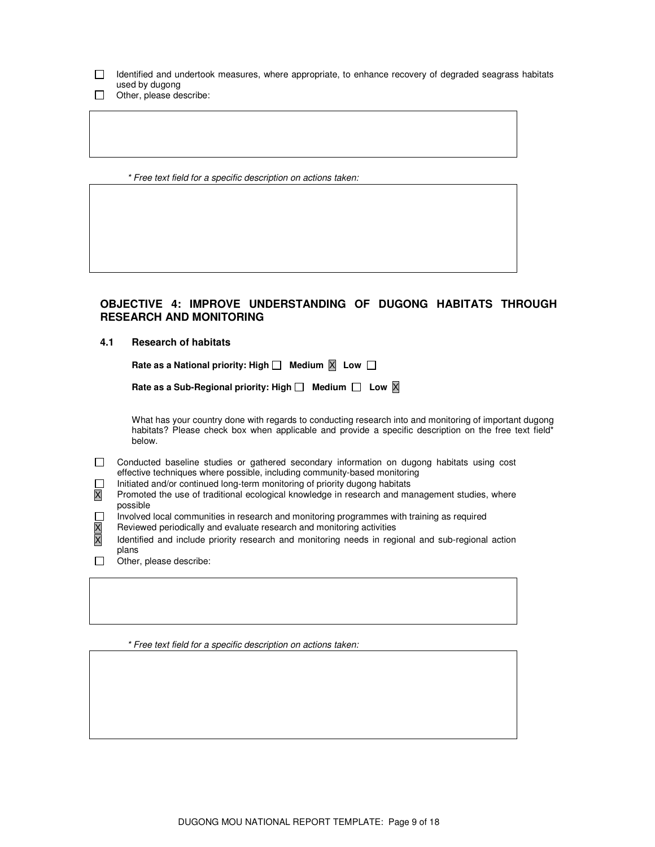- Identified and undertook measures, where appropriate, to enhance recovery of degraded seagrass habitats used by dugong
- Other, please describe:

\* Free text field for a specific description on actions taken:

## **OBJECTIVE 4: IMPROVE UNDERSTANDING OF DUGONG HABITATS THROUGH RESEARCH AND MONITORING**

### **4.1 Research of habitats**

Rate as a National priority: High  $\Box$  Medium  $\boxed{\times}$  Low  $\Box$ 

 What has your country done with regards to conducting research into and monitoring of important dugong habitats? Please check box when applicable and provide a specific description on the free text field\* below.

- Conducted baseline studies or gathered secondary information on dugong habitats using cost effective techniques where possible, including community-based monitoring
	-
- Initiated and/or continued long-term monitoring of priority dugong habitats  $\overline{X}$  Promoted the use of traditional ecological knowledge in research and ma Promoted the use of traditional ecological knowledge in research and management studies, where possible
- Involved local communities in research and monitoring programmes with training as required
- 
- $\overline{X}$  Reviewed periodically and evaluate research and monitoring activities  $\overline{X}$  Identified and include priority research and monitoring needs in reg Identified and include priority research and monitoring needs in regional and sub-regional action plans
- Other, please describe:

\* Free text field for a specific description on actions taken: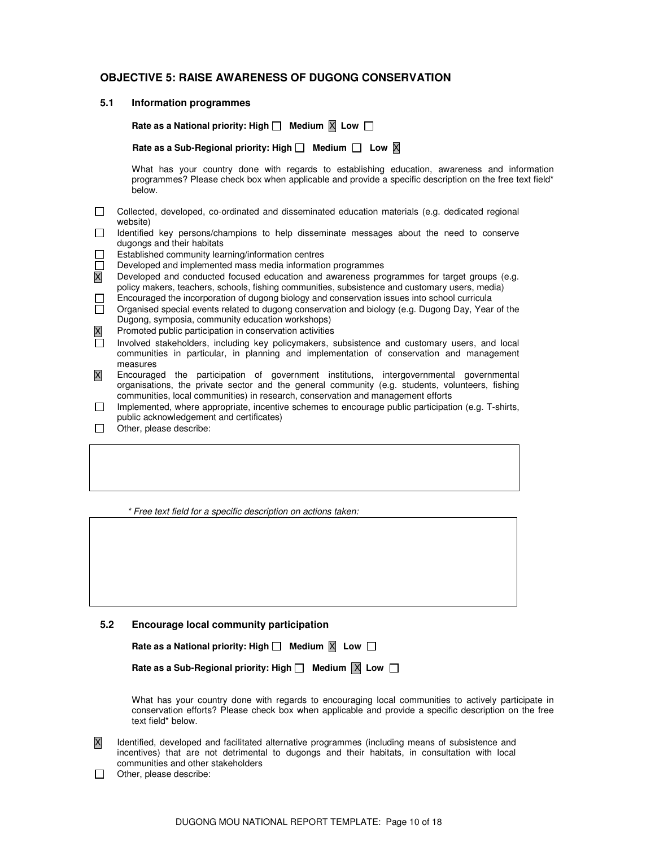## **OBJECTIVE 5: RAISE AWARENESS OF DUGONG CONSERVATION**

#### **5.1 Information programmes**

Rate as a National priority: High  $\Box$  Medium  $\Box$  Low  $\Box$ 

Rate as a Sub-Regional priority: High  $\Box$  Medium  $\Box$  Low  $\overline{X}$ 

 What has your country done with regards to establishing education, awareness and information programmes? Please check box when applicable and provide a specific description on the free text field\* below.

- Collected, developed, co-ordinated and disseminated education materials (e.g. dedicated regional website)
- Identified key persons/champions to help disseminate messages about the need to conserve dugongs and their habitats
- Established community learning/information centres
- Developed and implemented mass media information programmes
- X Developed and conducted focused education and awareness programmes for target groups (e.g. policy makers, teachers, schools, fishing communities, subsistence and customary users, media)
- Encouraged the incorporation of dugong biology and conservation issues into school curricula<br>
Organised special events related to dugong conservation and biology (e.g. Dugong Day, Year
- Organised special events related to dugong conservation and biology (e.g. Dugong Day, Year of the Dugong, symposia, community education workshops)
- Promoted public participation in conservation activities
- Involved stakeholders, including key policymakers, subsistence and customary users, and local communities in particular, in planning and implementation of conservation and management measures
- X Encouraged the participation of government institutions, intergovernmental governmental organisations, the private sector and the general community (e.g. students, volunteers, fishing communities, local communities) in research, conservation and management efforts
- $\Box$  Implemented, where appropriate, incentive schemes to encourage public participation (e.g. T-shirts, public acknowledgement and certificates)
- $\Box$  Other, please describe:

\* Free text field for a specific description on actions taken:

**5.2 Encourage local community participation** 

| Rate as a National priority: High $\square$ |  | Medium $X$ Low |  |
|---------------------------------------------|--|----------------|--|
|---------------------------------------------|--|----------------|--|

| Rate as a Sub-Regional priority: High <b>L</b> | Medium $ X $ Low |  |  |  |
|------------------------------------------------|------------------|--|--|--|
|------------------------------------------------|------------------|--|--|--|

 What has your country done with regards to encouraging local communities to actively participate in conservation efforts? Please check box when applicable and provide a specific description on the free text field\* below.

- X Identified, developed and facilitated alternative programmes (including means of subsistence and incentives) that are not detrimental to dugongs and their habitats, in consultation with local communities and other stakeholders
- $\Box$  Other, please describe: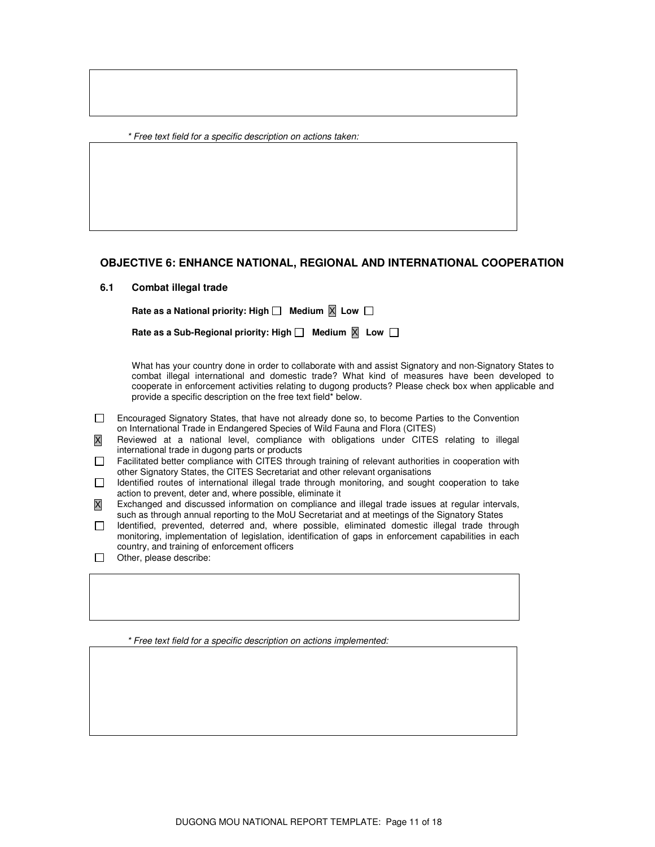\* Free text field for a specific description on actions taken:

## **OBJECTIVE 6: ENHANCE NATIONAL, REGIONAL AND INTERNATIONAL COOPERATION**

#### **6.1 Combat illegal trade**

Rate as a National priority: High  $\Box$  Medium  $\Box$  Low  $\Box$ 

| Rate as a Sub-Regional priority: High $\Box$ | Medium $\overline{X}$ Low |  |  |
|----------------------------------------------|---------------------------|--|--|
|----------------------------------------------|---------------------------|--|--|

 What has your country done in order to collaborate with and assist Signatory and non-Signatory States to combat illegal international and domestic trade? What kind of measures have been developed to cooperate in enforcement activities relating to dugong products? Please check box when applicable and provide a specific description on the free text field\* below.

 Encouraged Signatory States, that have not already done so, to become Parties to the Convention on International Trade in Endangered Species of Wild Fauna and Flora (CITES)

X Reviewed at a national level, compliance with obligations under CITES relating to illegal international trade in dugong parts or products

 Facilitated better compliance with CITES through training of relevant authorities in cooperation with other Signatory States, the CITES Secretariat and other relevant organisations

 $\Box$  Identified routes of international illegal trade through monitoring, and sought cooperation to take action to prevent, deter and, where possible, eliminate it

X Exchanged and discussed information on compliance and illegal trade issues at regular intervals, such as through annual reporting to the MoU Secretariat and at meetings of the Signatory States

- Identified, prevented, deterred and, where possible, eliminated domestic illegal trade through monitoring, implementation of legislation, identification of gaps in enforcement capabilities in each country, and training of enforcement officers
- $\Box$  Other, please describe:

\* Free text field for a specific description on actions implemented: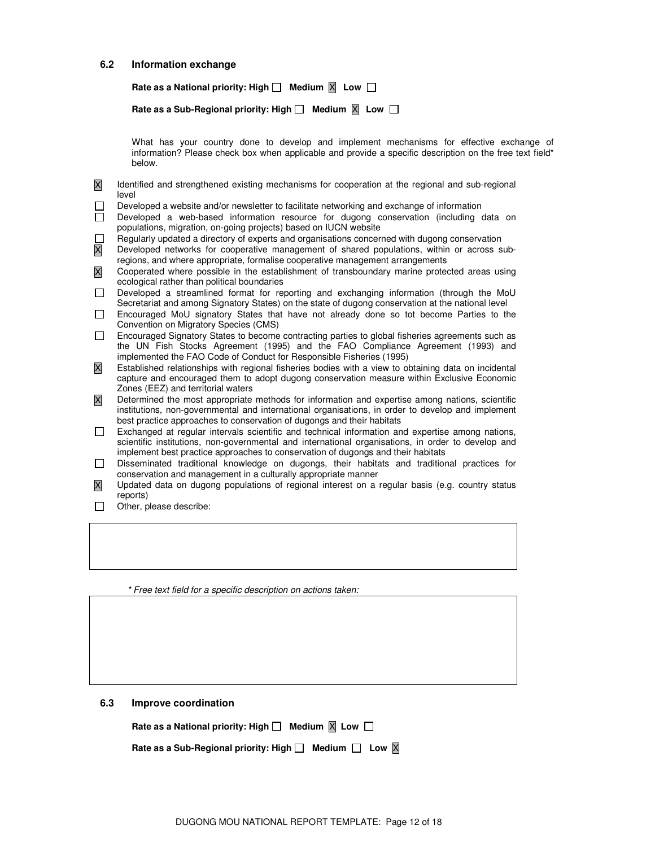#### **6.2 Information exchange**

Rate as a National priority: High  $\Box$  Medium  $\Box$  Low  $\Box$ 

| Rate as a Sub-Regional priority: High $\Box$ Medium $\boxtimes$ Low $\Box$ |  |  |  |  |
|----------------------------------------------------------------------------|--|--|--|--|
|----------------------------------------------------------------------------|--|--|--|--|

 What has your country done to develop and implement mechanisms for effective exchange of information? Please check box when applicable and provide a specific description on the free text field\* below.

X Identified and strengthened existing mechanisms for cooperation at the regional and sub-regional level

- Developed a website and/or newsletter to facilitate networking and exchange of information
- Developed a web-based information resource for dugong conservation (including data on populations, migration, on-going projects) based on IUCN website
- Regularly updated a directory of experts and organisations concerned with dugong conservation  $\mathbf{I}$
- X Developed networks for cooperative management of shared populations, within or across subregions, and where appropriate, formalise cooperative management arrangements
- X Cooperated where possible in the establishment of transboundary marine protected areas using ecological rather than political boundaries
- Developed a streamlined format for reporting and exchanging information (through the MoU Secretariat and among Signatory States) on the state of dugong conservation at the national level
- Encouraged MoU signatory States that have not already done so tot become Parties to the Convention on Migratory Species (CMS)
- Encouraged Signatory States to become contracting parties to global fisheries agreements such as the UN Fish Stocks Agreement (1995) and the FAO Compliance Agreement (1993) and implemented the FAO Code of Conduct for Responsible Fisheries (1995)
- X Established relationships with regional fisheries bodies with a view to obtaining data on incidental capture and encouraged them to adopt dugong conservation measure within Exclusive Economic Zones (EEZ) and territorial waters
- X Determined the most appropriate methods for information and expertise among nations, scientific institutions, non-governmental and international organisations, in order to develop and implement best practice approaches to conservation of dugongs and their habitats
- Exchanged at regular intervals scientific and technical information and expertise among nations, scientific institutions, non-governmental and international organisations, in order to develop and implement best practice approaches to conservation of dugongs and their habitats
- Disseminated traditional knowledge on dugongs, their habitats and traditional practices for conservation and management in a culturally appropriate manner
- X Updated data on dugong populations of regional interest on a regular basis (e.g. country status reports)
- $\Box$  Other, please describe:

\* Free text field for a specific description on actions taken:

#### **6.3 Improve coordination**

Rate as a National priority: High  $\Box$  Medium  $\Box$  Low  $\Box$ 

Rate as a Sub-Regional priority: High  $\Box$  Medium  $\Box$  Low  $\boxtimes$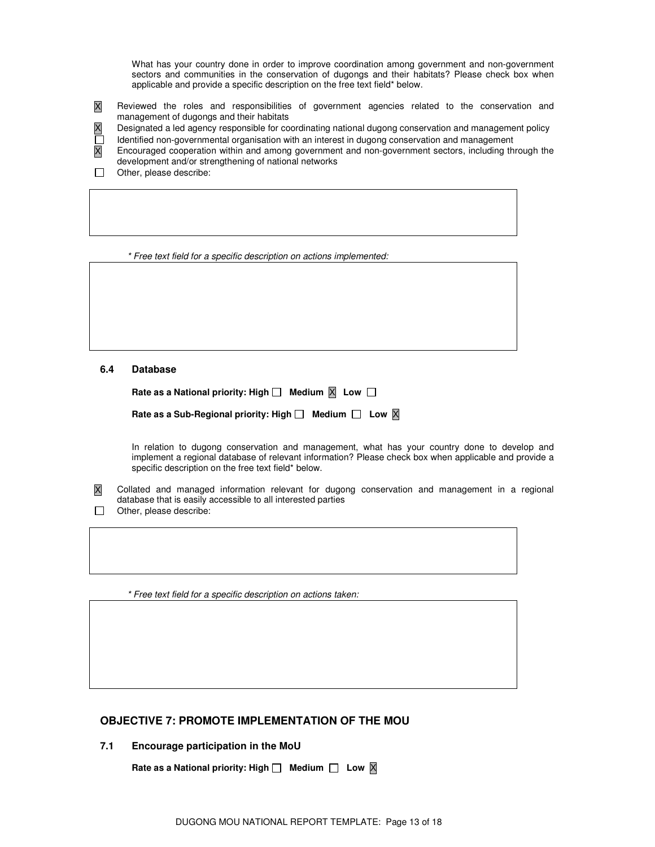What has your country done in order to improve coordination among government and non-government sectors and communities in the conservation of dugongs and their habitats? Please check box when applicable and provide a specific description on the free text field\* below.

X Reviewed the roles and responsibilities of government agencies related to the conservation and management of dugongs and their habitats

X Designated a led agency responsible for coordinating national dugong conservation and management policy

Identified non-governmental organisation with an interest in dugong conservation and management

X Encouraged cooperation within and among government and non-government sectors, including through the development and/or strengthening of national networks

 $\Box$  Other, please describe:

\* Free text field for a specific description on actions implemented:

**6.4 Database** 

| Rate as a National priority: High $\Box$ Medium $\boxtimes$ Low $\Box$ |  |  |  |
|------------------------------------------------------------------------|--|--|--|
|------------------------------------------------------------------------|--|--|--|

| Rate as a Sub-Regional priority: High $\Box$ Medium $\Box$ Low $\boxtimes$ |  |  |  |
|----------------------------------------------------------------------------|--|--|--|
|----------------------------------------------------------------------------|--|--|--|

 In relation to dugong conservation and management, what has your country done to develop and implement a regional database of relevant information? Please check box when applicable and provide a specific description on the free text field\* below.

X Collated and managed information relevant for dugong conservation and management in a regional database that is easily accessible to all interested parties

 $\Box$  Other, please describe:

\* Free text field for a specific description on actions taken:

## **OBJECTIVE 7: PROMOTE IMPLEMENTATION OF THE MOU**

**7.1 Encourage participation in the MoU** 

Rate as a National priority: High  $\Box$  Medium  $\Box$  Low  $\boxtimes$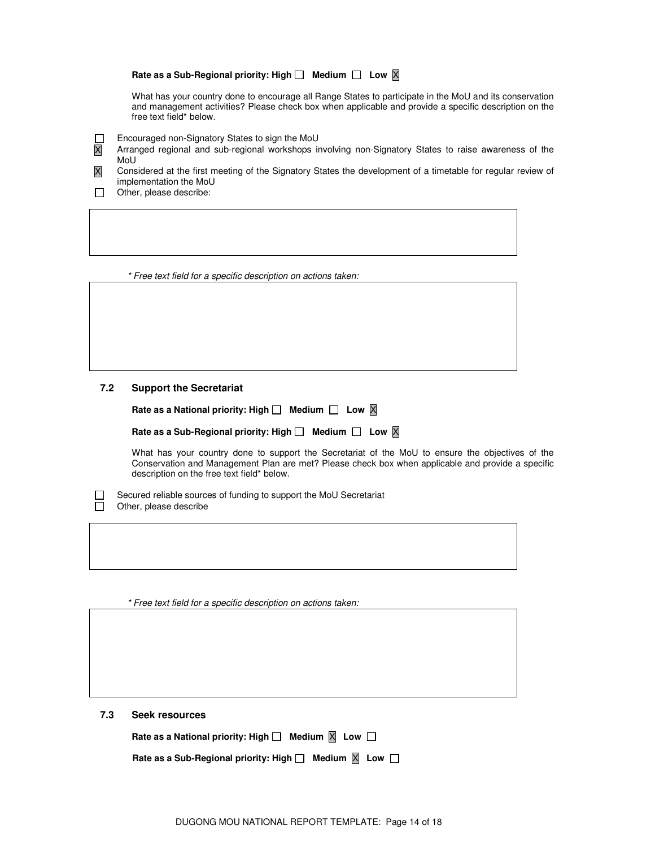### Rate as a Sub-Regional priority: High  $\Box$  Medium  $\Box$  Low  $\boxtimes$

 What has your country done to encourage all Range States to participate in the MoU and its conservation and management activities? Please check box when applicable and provide a specific description on the free text field\* below.

- Encouraged non-Signatory States to sign the MoU
- X Arranged regional and sub-regional workshops involving non-Signatory States to raise awareness of the MoU
- X Considered at the first meeting of the Signatory States the development of a timetable for regular review of implementation the MoU
- $\Box$  Other, please describe:

П

\* Free text field for a specific description on actions taken:

## **7.2 Support the Secretariat**

| Rate as a National priority: High $\Box$ Medium $\Box$ Low $\boxtimes$ |  |
|------------------------------------------------------------------------|--|
|                                                                        |  |

 What has your country done to support the Secretariat of the MoU to ensure the objectives of the Conservation and Management Plan are met? Please check box when applicable and provide a specific description on the free text field\* below.

 $\Box$  Secured reliable sources of funding to support the MoU Secretariat  $\Box$  Other, please describe Other, please describe

\* Free text field for a specific description on actions taken:

**7.3 Seek resources** 

| Rate as a National priority: High $\Box$ Medium $\boxtimes$ Low $\Box$ |  |  |  |
|------------------------------------------------------------------------|--|--|--|
|------------------------------------------------------------------------|--|--|--|

| Rate as a Sub-Regional priority: High $\Box$ Medium $\boxtimes$ Low $\Box$ |  |  |
|----------------------------------------------------------------------------|--|--|
|----------------------------------------------------------------------------|--|--|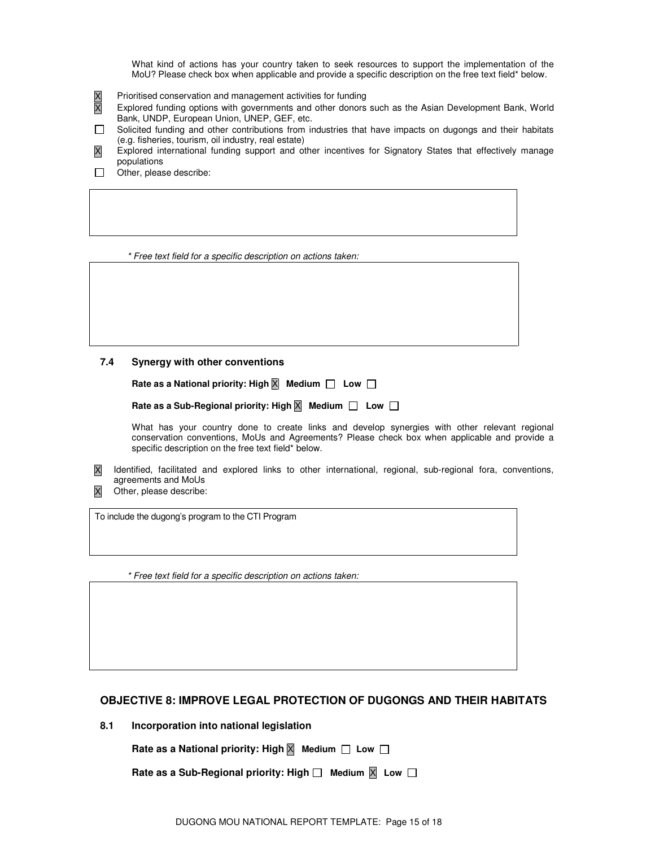What kind of actions has your country taken to seek resources to support the implementation of the MoU? Please check box when applicable and provide a specific description on the free text field\* below.

- X Prioritised conservation and management activities for funding
- X Explored funding options with governments and other donors such as the Asian Development Bank, World Bank, UNDP, European Union, UNEP, GEF, etc.
- Solicited funding and other contributions from industries that have impacts on dugongs and their habitats (e.g. fisheries, tourism, oil industry, real estate)
- X Explored international funding support and other incentives for Signatory States that effectively manage populations
- $\Box$  Other, please describe:

\* Free text field for a specific description on actions taken:

#### **7.4 Synergy with other conventions**

**Rate as a National priority: High** X **Medium Low**

 **Rate as a Sub-Regional priority: High** X **Medium Low**

 What has your country done to create links and develop synergies with other relevant regional conservation conventions, MoUs and Agreements? Please check box when applicable and provide a specific description on the free text field\* below.

- X Identified, facilitated and explored links to other international, regional, sub-regional fora, conventions, agreements and MoUs
- X Other, please describe:

To include the dugong's program to the CTI Program

\* Free text field for a specific description on actions taken:

## **OBJECTIVE 8: IMPROVE LEGAL PROTECTION OF DUGONGS AND THEIR HABITATS**

**8.1 Incorporation into national legislation** 

**Rate as a National priority: High** X **Medium Low**

 **Rate as a Sub-Regional priority: High**  $\Box$  **Medium**  $\boxtimes$  **Low**  $\Box$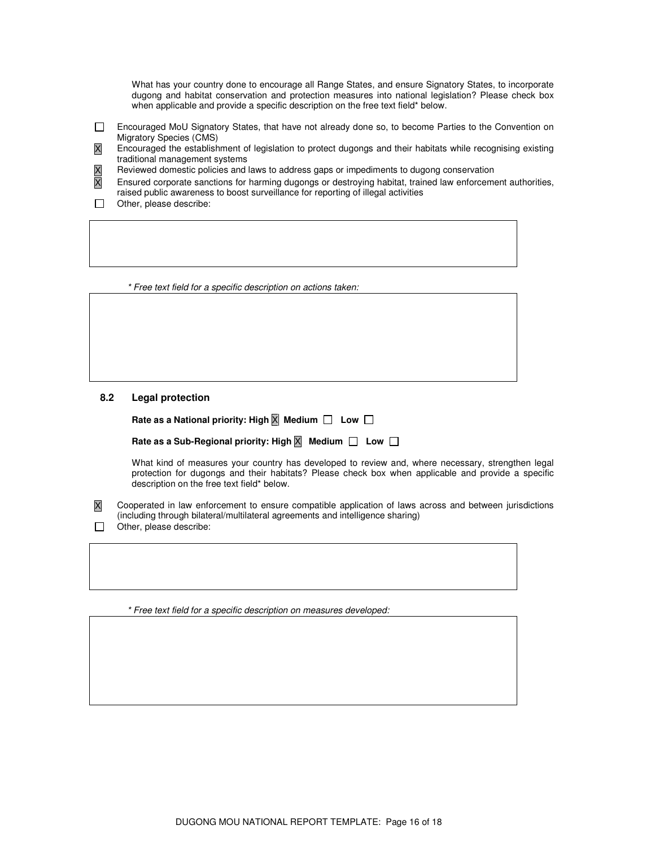What has your country done to encourage all Range States, and ensure Signatory States, to incorporate dugong and habitat conservation and protection measures into national legislation? Please check box when applicable and provide a specific description on the free text field\* below.

- Encouraged MoU Signatory States, that have not already done so, to become Parties to the Convention on Migratory Species (CMS)
- X Encouraged the establishment of legislation to protect dugongs and their habitats while recognising existing traditional management systems
- 
- $\overline{X}$  Reviewed domestic policies and laws to address gaps or impediments to dugong conservation  $\overline{X}$  Ensured corporate sanctions for harming dugongs or destroying habitat, trained law enforceme Ensured corporate sanctions for harming dugongs or destroying habitat, trained law enforcement authorities, raised public awareness to boost surveillance for reporting of illegal activities
- $\Box$  Other, please describe:

\* Free text field for a specific description on actions taken:

#### **8.2 Legal protection**

**Rate as a National priority: High** X **Medium Low**

## **Rate as a Sub-Regional priority: High** X **Medium Low**

 What kind of measures your country has developed to review and, where necessary, strengthen legal protection for dugongs and their habitats? Please check box when applicable and provide a specific description on the free text field\* below.

X Cooperated in law enforcement to ensure compatible application of laws across and between jurisdictions (including through bilateral/multilateral agreements and intelligence sharing)  $\Box$  Other, please describe:

\* Free text field for a specific description on measures developed: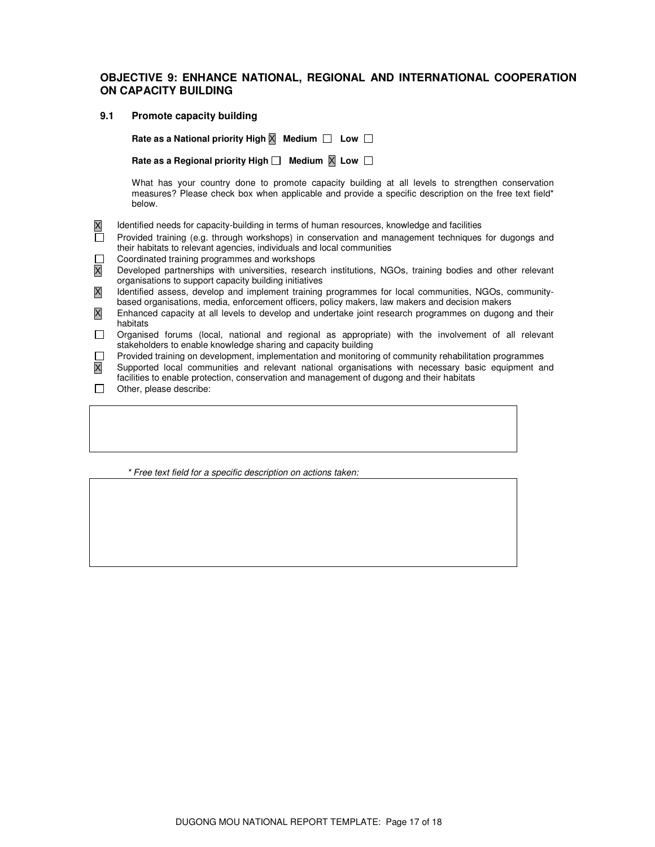## **OBJECTIVE 9: ENHANCE NATIONAL, REGIONAL AND INTERNATIONAL COOPERATION ON CAPACITY BUILDING**

#### **9.1 Promote capacity building**

**Rate as a National priority High** X **Medium Low**

Rate as a Regional priority High  $\Box$  Medium  $\overline{\mathbb{X}}$  Low  $\Box$ 

 What has your country done to promote capacity building at all levels to strengthen conservation measures? Please check box when applicable and provide a specific description on the free text field\* below.

- X Identified needs for capacity-building in terms of human resources, knowledge and facilities
- Provided training (e.g. through workshops) in conservation and management techniques for dugongs and their habitats to relevant agencies, individuals and local communities
- Coordinated training programmes and workshops
- X Developed partnerships with universities, research institutions, NGOs, training bodies and other relevant organisations to support capacity building initiatives
- X Identified assess, develop and implement training programmes for local communities, NGOs, communitybased organisations, media, enforcement officers, policy makers, law makers and decision makers
- X Enhanced capacity at all levels to develop and undertake joint research programmes on dugong and their habitats
- Organised forums (local, national and regional as appropriate) with the involvement of all relevant stakeholders to enable knowledge sharing and capacity building
- Provided training on development, implementation and monitoring of community rehabilitation programmes
- X Supported local communities and relevant national organisations with necessary basic equipment and facilities to enable protection, conservation and management of dugong and their habitats
- Other, please describe:

\* Free text field for a specific description on actions taken: